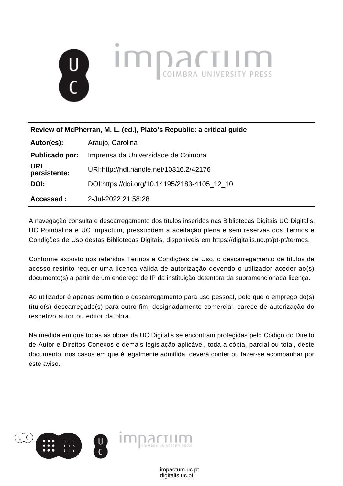

**Review of McPherran, M. L. (ed.), Plato's Republic: a critical guide**

| Autor(es):                 | Araujo, Carolina                             |
|----------------------------|----------------------------------------------|
| Publicado por:             | Imprensa da Universidade de Coimbra          |
| <b>URL</b><br>persistente: | URI:http://hdl.handle.net/10316.2/42176      |
| DOI:                       | DOI:https://doi.org/10.14195/2183-4105_12_10 |
| Accessed:                  | 2-Jul-2022 21:58:28                          |

A navegação consulta e descarregamento dos títulos inseridos nas Bibliotecas Digitais UC Digitalis, UC Pombalina e UC Impactum, pressupõem a aceitação plena e sem reservas dos Termos e Condições de Uso destas Bibliotecas Digitais, disponíveis em https://digitalis.uc.pt/pt-pt/termos.

Conforme exposto nos referidos Termos e Condições de Uso, o descarregamento de títulos de acesso restrito requer uma licença válida de autorização devendo o utilizador aceder ao(s) documento(s) a partir de um endereço de IP da instituição detentora da supramencionada licença.

Ao utilizador é apenas permitido o descarregamento para uso pessoal, pelo que o emprego do(s) título(s) descarregado(s) para outro fim, designadamente comercial, carece de autorização do respetivo autor ou editor da obra.

Na medida em que todas as obras da UC Digitalis se encontram protegidas pelo Código do Direito de Autor e Direitos Conexos e demais legislação aplicável, toda a cópia, parcial ou total, deste documento, nos casos em que é legalmente admitida, deverá conter ou fazer-se acompanhar por este aviso.

> digitalis.uc.pt impactum.uc.pt

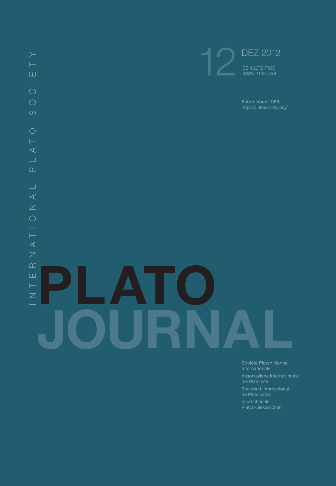

Société Platonicienne

dei Platonisti

Sociedad Internacional de Platonistas

Platon-Gesellschaft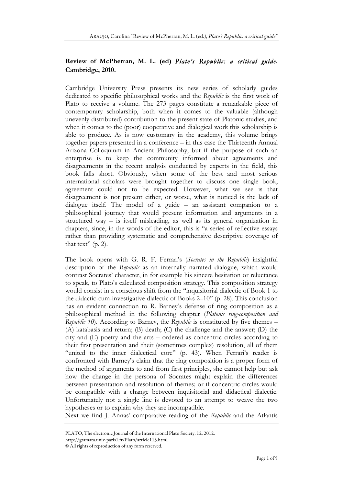## **Review of McPherran, M. L. (ed)** *Plato's Republic: a critical guide***. Cambridge, 2010.**

Cambridge University Press presents its new series of scholarly guides dedicated to specific philosophical works and the *Republic* is the first work of Plato to receive a volume. The 273 pages constitute a remarkable piece of contemporary scholarship, both when it comes to the valuable (although unevenly distributed) contribution to the present state of Platonic studies, and when it comes to the (poor) cooperative and dialogical work this scholarship is able to produce. As is now customary in the academy, this volume brings together papers presented in a conference – in this case the Thirteenth Annual Arizona Colloquium in Ancient Philosophy; but if the purpose of such an enterprise is to keep the community informed about agreements and disagreements in the recent analysis conducted by experts in the field, this book falls short. Obviously, when some of the best and most serious international scholars were brought together to discuss one single book, agreement could not to be expected. However, what we see is that disagreement is not present either, or worse, what is noticed is the lack of dialogue itself. The model of a guide – an assistant companion to a philosophical journey that would present information and arguments in a structured way – is itself misleading, as well as its general organization in chapters, since, in the words of the editor, this is "a series of reflective essays rather than providing systematic and comprehensive descriptive coverage of that text"  $(p. 2)$ .

The book opens with G. R. F. Ferrari's (*Socrates in the Republic*) insightful description of the *Republic* as an internally narrated dialogue, which would contrast Socrates' character, in for example his sincere hesitation or reluctance to speak, to Plato's calculated composition strategy. This composition strategy would consist in a conscious shift from the "inquisitorial dialectic of Book 1 to the didactic-cum-investigative dialectic of Books 2–10" (p. 28). This conclusion has an evident connection to R. Barney's defense of ring composition as a philosophical method in the following chapter (*Platonic ring-composition and Republic 10*). According to Barney, the *Republic* is constituted by five themes – (A) katabasis and return; (B) death; (C) the challenge and the answer; (D) the city and (E) poetry and the arts – ordered as concentric circles according to their first presentation and their (sometimes complex) resolution, all of them "united to the inner dialectical core" (p. 43). When Ferrari's reader is confronted with Barney's claim that the ring composition is a proper form of the method of arguments to and from first principles, she cannot help but ask how the change in the persona of Socrates might explain the differences between presentation and resolution of themes; or if concentric circles would be compatible with a change between inquisitorial and didactical dialectic. Unfortunately not a single line is devoted to an attempt to weave the two hypotheses or to explain why they are incompatible.

Next we find J. Annas' comparative reading of the *Republic* and the Atlantis

PLATO, The electronic Journal of the International Plato Society, 12, 2012.

http://gramata.univ-paris1.fr/Plato/article113.html,

<sup>©</sup> All rights of reproduction of any form reserved.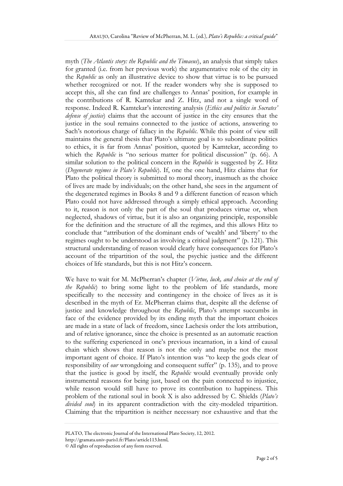myth (*The Atlantis story: the Republic and the Timaeus*), an analysis that simply takes for granted (i.e. from her previous work) the argumentative role of the city in the *Republic* as only an illustrative device to show that virtue is to be pursued whether recognized or not. If the reader wonders why she is supposed to accept this, all she can find are challenges to Annas' position, for example in the contributions of R. Kamtekar and Z. Hitz, and not a single word of response. Indeed R. Kamtekar's interesting analysis (*Ethics and politics in Socrates' defense of justice*) claims that the account of justice in the city ensures that the justice in the soul remains connected to the justice of actions, answering to Sach's notorious charge of fallacy in the *Republic*. While this point of view still maintains the general thesis that Plato's ultimate goal is to subordinate politics to ethics, it is far from Annas' position, quoted by Kamtekar, according to which the *Republic* is "no serious matter for political discussion" (p. 66). A similar solution to the political concern in the *Republic* is suggested by Z. Hitz (*Degenerate regimes in Plato's Republic*). If, one the one hand, Hitz claims that for Plato the political theory is submitted to moral theory, inasmuch as the choice of lives are made by individuals; on the other hand, she sees in the argument of the degenerated regimes in Books 8 and 9 a different function of reason which Plato could not have addressed through a simply ethical approach. According to it, reason is not only the part of the soul that produces virtue or, when neglected, shadows of virtue, but it is also an organizing principle, responsible for the definition and the structure of all the regimes, and this allows Hitz to conclude that "attribution of the dominant ends of 'wealth' and 'liberty' to the regimes ought to be understood as involving a critical judgment" (p. 121). This structural understanding of reason would clearly have consequences for Plato's account of the tripartition of the soul, the psychic justice and the different choices of life standards, but this is not Hitz's concern.

We have to wait for M. McPherran's chapter (*Virtue, luck, and choice at the end of the Republic*) to bring some light to the problem of life standards, more specifically to the necessity and contingency in the choice of lives as it is described in the myth of Er. McPherran claims that, despite all the defense of justice and knowledge throughout the *Republic*, Plato's attempt succumbs in face of the evidence provided by its ending myth that the important choices are made in a state of lack of freedom, since Lachesis order the lots attribution, and of relative ignorance, since the choice is presented as an automatic reaction to the suffering experienced in one's previous incarnation, in a kind of causal chain which shows that reason is not the only and maybe not the most important agent of choice. If Plato's intention was "to keep the gods clear of responsibility of *our* wrongdoing and consequent suffer" (p. 135), and to prove that the justice is good by itself, the *Republic* would eventually provide only instrumental reasons for being just, based on the pain connected to injustice, while reason would still have to prove its contribution to happiness. This problem of the rational soul in book X is also addressed by C. Shields (*Plato's divided soul*) in its apparent contradiction with the city-modeled tripartition. Claiming that the tripartition is neither necessary nor exhaustive and that the

PLATO, The electronic Journal of the International Plato Society, 12, 2012. http://gramata.univ-paris1.fr/Plato/article113.html,

<sup>©</sup> All rights of reproduction of any form reserved.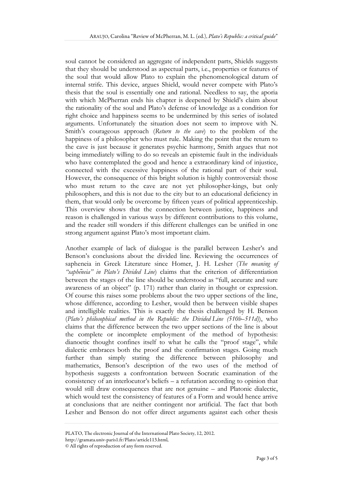soul cannot be considered an aggregate of independent parts, Shields suggests that they should be understood as aspectual parts, i.e., properties or features of the soul that would allow Plato to explain the phenomenological datum of internal strife. This device, argues Shield, would never compete with Plato's thesis that the soul is essentially one and rational. Needless to say, the aporia with which McPherran ends his chapter is deepened by Shield's claim about the rationality of the soul and Plato's defense of knowledge as a condition for right choice and happiness seems to be undermined by this series of isolated arguments. Unfortunately the situation does not seem to improve with N. Smith's courageous approach (*Return to the cave*) to the problem of the happiness of a philosopher who must rule. Making the point that the return to the cave is just because it generates psychic harmony, Smith argues that not being immediately willing to do so reveals an epistemic fault in the individuals who have contemplated the good and hence a extraordinary kind of injustice, connected with the excessive happiness of the rational part of their soul. However, the consequence of this bright solution is highly controversial: those who must return to the cave are not yet philosopher-kings, but only philosophers, and this is not due to the city but to an educational deficiency in them, that would only be overcome by fifteen years of political apprenticeship. This overview shows that the connection between justice, happiness and reason is challenged in various ways by different contributions to this volume, and the reader still wonders if this different challenges can be unified in one strong argument against Plato's most important claim.

Another example of lack of dialogue is the parallel between Lesher's and Benson's conclusions about the divided line. Reviewing the occurrences of sapheneia in Greek Literature since Homer, J. H. Lesher (*The meaning of "saphēneia" in Plato's Divided Line*) claims that the criterion of differentiation between the stages of the line should be understood as "full, accurate and sure awareness of an object" (p. 171) rather than clarity in thought or expression. Of course this raises some problems about the two upper sections of the line, whose difference, according to Lesher, would then be between visible shapes and intelligible realities. This is exactly the thesis challenged by H. Benson (*Plato's philosophical method in the Republic: the Divided Line (510b–511d)*), who claims that the difference between the two upper sections of the line is about the complete or incomplete employment of the method of hypothesis: dianoetic thought confines itself to what he calls the "proof stage", while dialectic embraces both the proof and the confirmation stages. Going much further than simply stating the difference between philosophy and mathematics, Benson's description of the two uses of the method of hypothesis suggests a confrontation between Socratic examination of the consistency of an interlocutor's beliefs – a refutation according to opinion that would still draw consequences that are not genuine – and Platonic dialectic, which would test the consistency of features of a Form and would hence arrive at conclusions that are neither contingent nor artificial. The fact that both Lesher and Benson do not offer direct arguments against each other thesis

http://gramata.univ-paris1.fr/Plato/article113.html,

PLATO, The electronic Journal of the International Plato Society, 12, 2012.

<sup>©</sup> All rights of reproduction of any form reserved.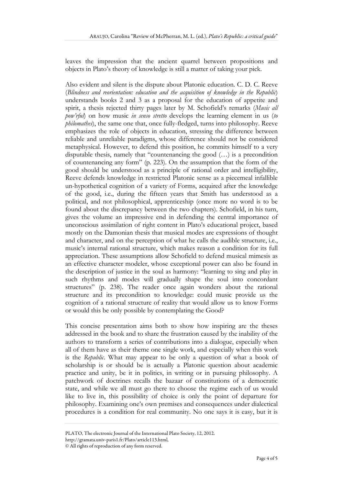leaves the impression that the ancient quarrel between propositions and objects in Plato's theory of knowledge is still a matter of taking your pick.

Also evident and silent is the dispute about Platonic education. C. D. C. Reeve (*Blindness and reorientation: education and the acquisition of knowledge in the Republic*) understands books 2 and 3 as a proposal for the education of appetite and spirit, a thesis rejected thirty pages later by M. Schofield's remarks (*Music all pow'rful*) on how music *in senso stretto* develops the learning element in us (*to philomathes*), the same one that, once fully-fledged, turns into philosophy. Reeve emphasizes the role of objects in education, stressing the difference between reliable and unreliable paradigms, whose difference should not be considered metaphysical. However, to defend this position, he commits himself to a very disputable thesis, namely that "countenancing the good (…) is a precondition of countenancing any form" (p. 223). On the assumption that the form of the good should be understood as a principle of rational order and intelligibility, Reeve defends knowledge in restricted Platonic sense as a piecemeal infallible un-hypothetical cognition of a variety of Forms, acquired after the knowledge of the good, i.e., during the fifteen years that Smith has understood as a political, and not philosophical, apprenticeship (once more no word is to be found about the discrepancy between the two chapters). Schofield, in his turn, gives the volume an impressive end in defending the central importance of unconscious assimilation of right content in Plato's educational project, based mostly on the Damonian thesis that musical modes are expressions of thought and character, and on the perception of what he calls the audible structure, i.e., music's internal rational structure, which makes reason a condition for its full appreciation. These assumptions allow Schofield to defend musical mimesis as an effective character modeler, whose exceptional power can also be found in the description of justice in the soul as harmony: "learning to sing and play in such rhythms and modes will gradually shape the soul into concordant structures" (p. 238). The reader once again wonders about the rational structure and its precondition to knowledge: could music provide us the cognition of a rational structure of reality that would allow us to know Forms or would this be only possible by contemplating the Good?

This concise presentation aims both to show how inspiring are the theses addressed in the book and to share the frustration caused by the inability of the authors to transform a series of contributions into a dialogue, especially when all of them have as their theme one single work, and especially when this work is the *Republic*. What may appear to be only a question of what a book of scholarship is or should be is actually a Platonic question about academic practice and unity, be it in politics, in writing or in pursuing philosophy. A patchwork of doctrines recalls the bazaar of constitutions of a democratic state, and while we all must go there to choose the regime each of us would like to live in, this possibility of choice is only the point of departure for philosophy. Examining one's own premises and consequences under dialectical procedures is a condition for real community. No one says it is easy, but it is

PLATO, The electronic Journal of the International Plato Society, 12, 2012. http://gramata.univ-paris1.fr/Plato/article113.html,

<sup>©</sup> All rights of reproduction of any form reserved.